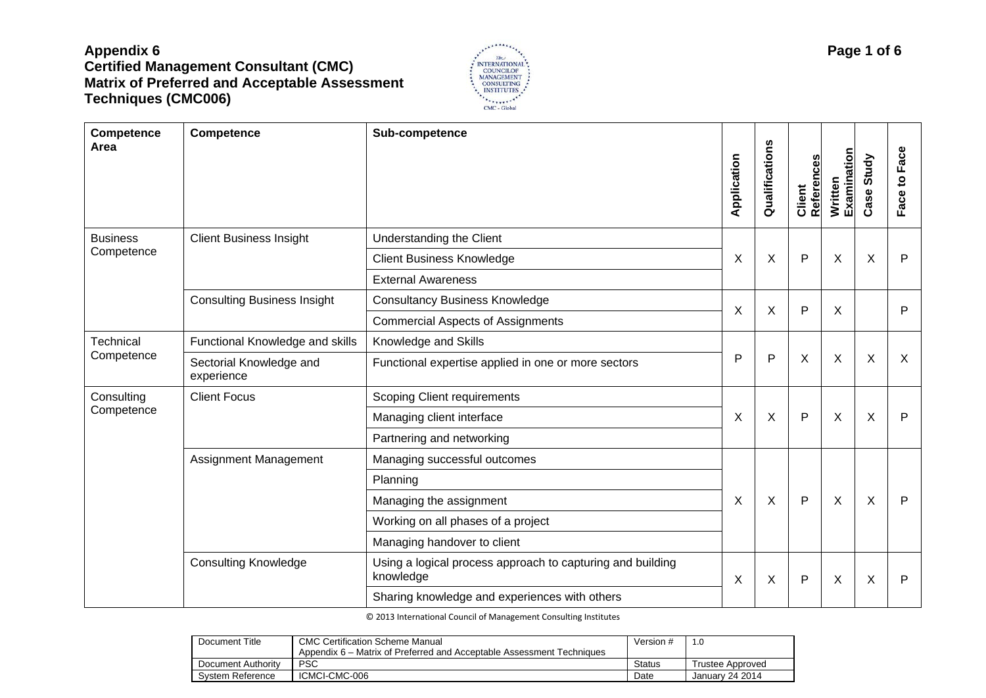

| Competence<br>Area      | Competence                            | Sub-competence                                                          | Application               | Qualifications | ဖွံ<br>Client<br>Referenc | Examination<br>Written    | Case Study | Face<br>Face to |
|-------------------------|---------------------------------------|-------------------------------------------------------------------------|---------------------------|----------------|---------------------------|---------------------------|------------|-----------------|
| <b>Business</b>         | <b>Client Business Insight</b>        | Understanding the Client                                                |                           |                |                           |                           |            |                 |
| Competence              |                                       | <b>Client Business Knowledge</b>                                        | $\boldsymbol{\mathsf{X}}$ | X              | $\mathsf{P}$              | X                         | X          | P               |
|                         |                                       | <b>External Awareness</b>                                               |                           |                |                           |                           |            |                 |
|                         | <b>Consulting Business Insight</b>    | <b>Consultancy Business Knowledge</b>                                   | X                         | X              | P                         | X                         |            | P               |
|                         |                                       | <b>Commercial Aspects of Assignments</b>                                |                           |                |                           |                           |            |                 |
| Technical<br>Competence | Functional Knowledge and skills       | Knowledge and Skills                                                    |                           |                |                           |                           |            |                 |
|                         | Sectorial Knowledge and<br>experience | Functional expertise applied in one or more sectors                     | P                         | P              | X                         | $\boldsymbol{\mathsf{X}}$ | $\sf X$    | $\times$        |
| Consulting              | <b>Client Focus</b>                   | <b>Scoping Client requirements</b>                                      |                           |                |                           |                           |            |                 |
| Competence              |                                       | Managing client interface                                               | X                         | X              | $\mathsf{P}$              | X                         | X          | P               |
|                         |                                       | Partnering and networking                                               |                           |                |                           |                           |            |                 |
|                         | Assignment Management                 | Managing successful outcomes                                            |                           |                |                           |                           |            |                 |
|                         |                                       | Planning                                                                |                           |                |                           |                           |            |                 |
|                         |                                       | Managing the assignment                                                 | X                         | X              | $\mathsf{P}$              | X                         | X          | P               |
|                         |                                       | Working on all phases of a project                                      |                           |                |                           |                           |            |                 |
|                         |                                       | Managing handover to client                                             |                           |                |                           |                           |            |                 |
|                         | <b>Consulting Knowledge</b>           | Using a logical process approach to capturing and building<br>knowledge | X                         | X              | P                         | X                         | X          | P               |
|                         |                                       | Sharing knowledge and experiences with others                           |                           |                |                           |                           |            |                 |

| Document Title     | <b>CMC Certification Scheme Manual</b>                                | Version # | 1 <sub>c</sub>   |
|--------------------|-----------------------------------------------------------------------|-----------|------------------|
|                    | Appendix 6 – Matrix of Preferred and Acceptable Assessment Techniques |           |                  |
| Document Authority | PSC                                                                   | Status    | Trustee Approved |
| System Reference   | ICMCI-CMC-006                                                         | Date      | January 24 2014  |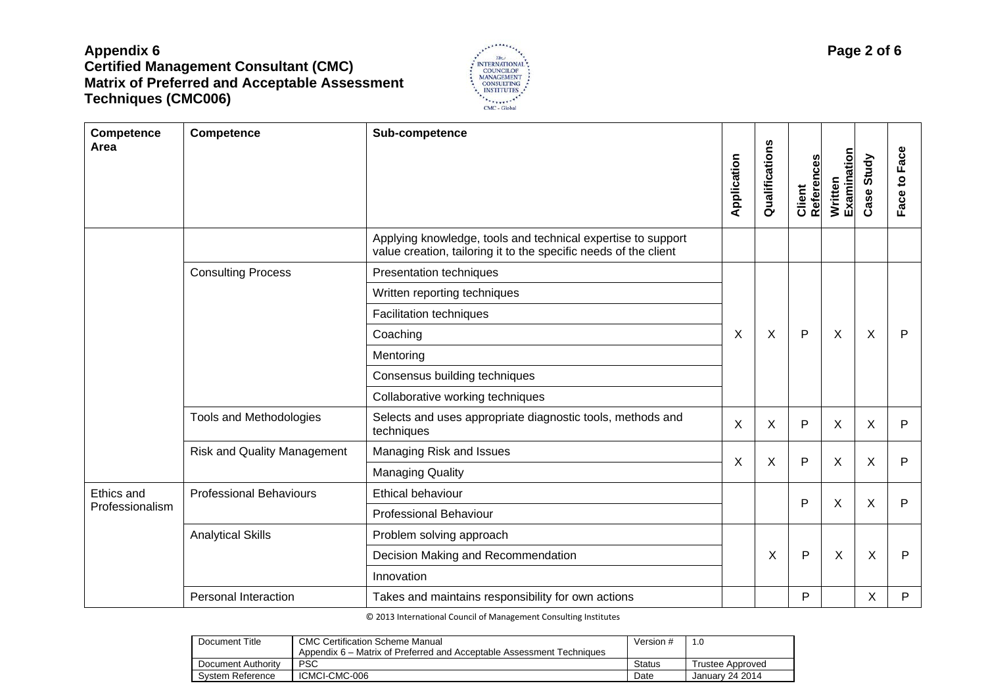

| Competence<br>Area | Competence                         | Sub-competence                                                                                                                   | Application | n<br>Qualification | <b>References</b><br>Client | Written<br>Examination | Case Study  | Face to Face |
|--------------------|------------------------------------|----------------------------------------------------------------------------------------------------------------------------------|-------------|--------------------|-----------------------------|------------------------|-------------|--------------|
|                    |                                    | Applying knowledge, tools and technical expertise to support<br>value creation, tailoring it to the specific needs of the client |             |                    |                             |                        |             |              |
|                    | <b>Consulting Process</b>          | Presentation techniques                                                                                                          |             |                    |                             |                        |             |              |
|                    |                                    | Written reporting techniques                                                                                                     |             |                    |                             |                        |             |              |
|                    |                                    | <b>Facilitation techniques</b>                                                                                                   |             |                    |                             |                        |             |              |
|                    |                                    | Coaching                                                                                                                         | X           | X                  | $\mathsf{P}$                | X                      | X           | $\mathsf{P}$ |
|                    |                                    | Mentoring                                                                                                                        |             |                    |                             |                        |             |              |
|                    |                                    | Consensus building techniques                                                                                                    |             |                    |                             |                        |             |              |
|                    |                                    | Collaborative working techniques                                                                                                 |             |                    |                             |                        |             |              |
|                    | Tools and Methodologies            | Selects and uses appropriate diagnostic tools, methods and<br>techniques                                                         | X           | X                  | P                           | X                      | X           | P            |
|                    | <b>Risk and Quality Management</b> | Managing Risk and Issues                                                                                                         |             |                    | P                           |                        |             |              |
|                    |                                    | <b>Managing Quality</b>                                                                                                          | X           | X                  |                             | X                      | X           | P            |
| Ethics and         | <b>Professional Behaviours</b>     | Ethical behaviour                                                                                                                |             |                    | P                           | X                      | X           | P            |
| Professionalism    |                                    | <b>Professional Behaviour</b>                                                                                                    |             |                    |                             |                        |             |              |
|                    | <b>Analytical Skills</b>           | Problem solving approach                                                                                                         |             |                    |                             |                        |             |              |
|                    |                                    | Decision Making and Recommendation                                                                                               |             | X                  | $\mathsf{P}$                | X                      | $\mathsf X$ | $\mathsf{P}$ |
|                    |                                    | Innovation                                                                                                                       |             |                    |                             |                        |             |              |
|                    | Personal Interaction               | Takes and maintains responsibility for own actions                                                                               |             |                    | P                           |                        | X           | P            |

| Document Title     | <b>CMC Certification Scheme Manual</b>                                | Version #     | 1.0              |
|--------------------|-----------------------------------------------------------------------|---------------|------------------|
|                    | Appendix 6 – Matrix of Preferred and Acceptable Assessment Techniques |               |                  |
| Document Authority | PSC                                                                   | <b>Status</b> | Trustee Approved |
| System Reference   | ICMCI-CMC-006                                                         | Date          | January 24 2014  |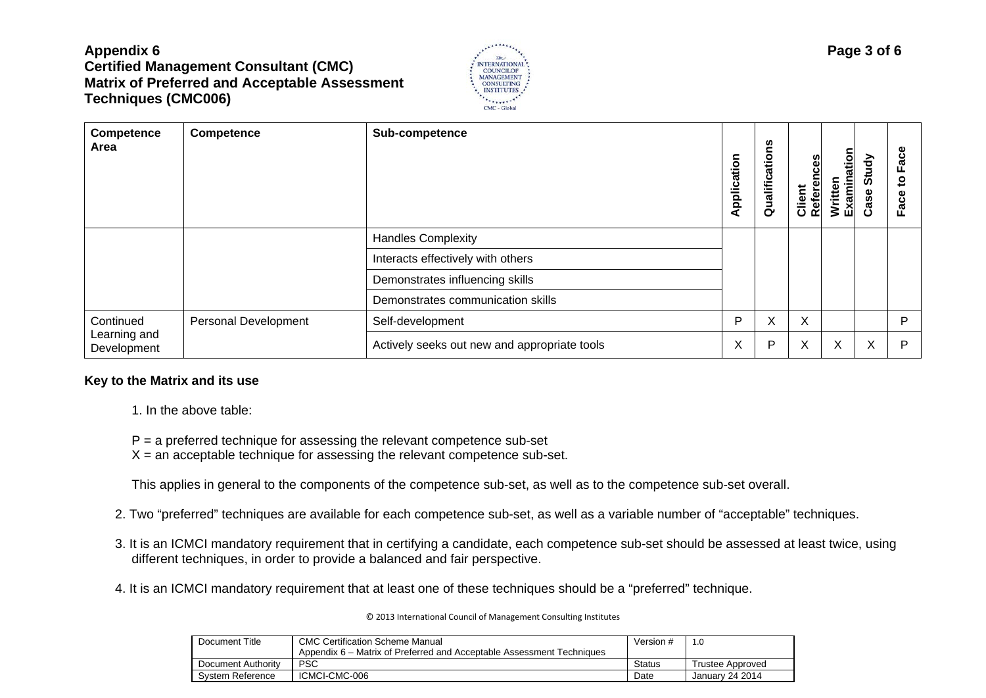

| Competence<br>Area                       | Competence           | Sub-competence                               | Application | Σu<br>Qualificatio | Client<br>References | Written<br>Examination | Study<br>Case | Φ<br>Fac<br>$\mathbf{S}$<br>Face |
|------------------------------------------|----------------------|----------------------------------------------|-------------|--------------------|----------------------|------------------------|---------------|----------------------------------|
|                                          |                      | <b>Handles Complexity</b>                    |             |                    |                      |                        |               |                                  |
|                                          |                      | Interacts effectively with others            |             |                    |                      |                        |               |                                  |
|                                          |                      | Demonstrates influencing skills              |             |                    |                      |                        |               |                                  |
|                                          |                      | Demonstrates communication skills            |             |                    |                      |                        |               |                                  |
| Continued<br>Learning and<br>Development | Personal Development | Self-development                             | P           | X                  | X                    |                        |               | P                                |
|                                          |                      | Actively seeks out new and appropriate tools | X           | P                  | Χ                    | X                      | X             | P                                |

#### **Key to the Matrix and its use**

- 1. In the above table:
- $P = a$  preferred technique for assessing the relevant competence sub-set
- $X =$  an acceptable technique for assessing the relevant competence sub-set.

This applies in general to the components of the competence sub-set, as well as to the competence sub-set overall.

- 2. Two "preferred" techniques are available for each competence sub-set, as well as a variable number of "acceptable" techniques.
- 3. It is an ICMCI mandatory requirement that in certifying a candidate, each competence sub-set should be assessed at least twice, using different techniques, in order to provide a balanced and fair perspective.
- 4. It is an ICMCI mandatory requirement that at least one of these techniques should be a "preferred" technique.

| Document Title     | <b>CMC Certification Scheme Manual</b>                                | Version #     |                  |
|--------------------|-----------------------------------------------------------------------|---------------|------------------|
|                    | Appendix 6 – Matrix of Preferred and Acceptable Assessment Techniques |               |                  |
| Document Authority | PSC                                                                   | <b>Status</b> | Trustee Approved |
| System Reference   | ICMCI-CMC-006                                                         | Date          | January 24 2014  |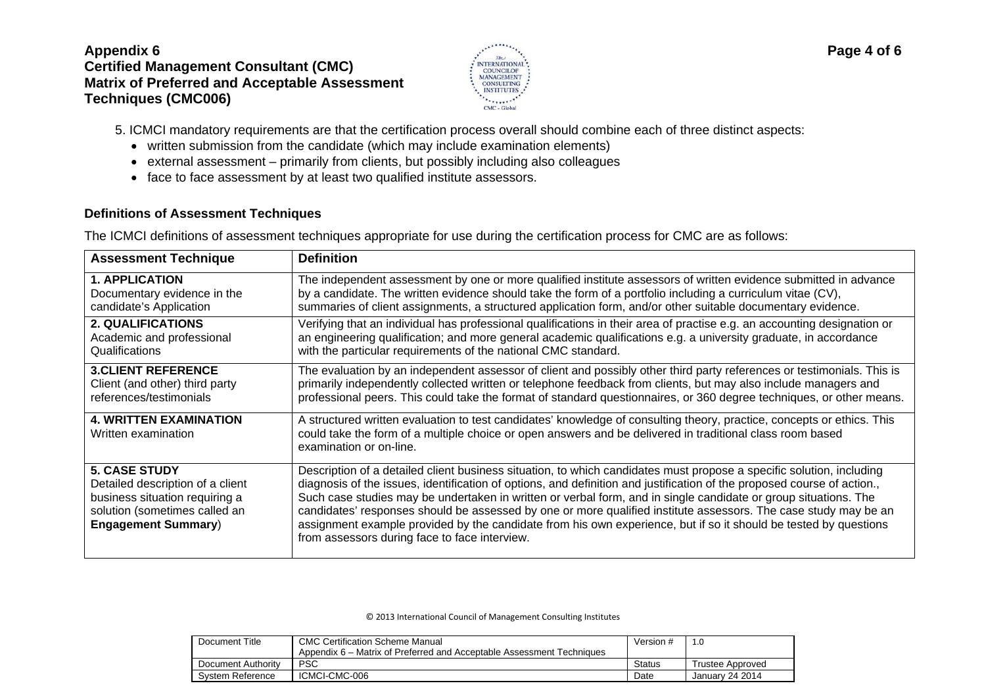

5. ICMCI mandatory requirements are that the certification process overall should combine each of three distinct aspects:

- written submission from the candidate (which may include examination elements)
- external assessment primarily from clients, but possibly including also colleagues
- face to face assessment by at least two qualified institute assessors.

### **Definitions of Assessment Techniques**

The ICMCI definitions of assessment techniques appropriate for use during the certification process for CMC are as follows:

| <b>Assessment Technique</b>                                                                                                                               | <b>Definition</b>                                                                                                                                                                                                                                                                                                                                                                                                                                                                                                                                                                                                                                          |
|-----------------------------------------------------------------------------------------------------------------------------------------------------------|------------------------------------------------------------------------------------------------------------------------------------------------------------------------------------------------------------------------------------------------------------------------------------------------------------------------------------------------------------------------------------------------------------------------------------------------------------------------------------------------------------------------------------------------------------------------------------------------------------------------------------------------------------|
| <b>1. APPLICATION</b>                                                                                                                                     | The independent assessment by one or more qualified institute assessors of written evidence submitted in advance                                                                                                                                                                                                                                                                                                                                                                                                                                                                                                                                           |
| Documentary evidence in the                                                                                                                               | by a candidate. The written evidence should take the form of a portfolio including a curriculum vitae (CV),                                                                                                                                                                                                                                                                                                                                                                                                                                                                                                                                                |
| candidate's Application                                                                                                                                   | summaries of client assignments, a structured application form, and/or other suitable documentary evidence.                                                                                                                                                                                                                                                                                                                                                                                                                                                                                                                                                |
| <b>2. QUALIFICATIONS</b>                                                                                                                                  | Verifying that an individual has professional qualifications in their area of practise e.g. an accounting designation or                                                                                                                                                                                                                                                                                                                                                                                                                                                                                                                                   |
| Academic and professional                                                                                                                                 | an engineering qualification; and more general academic qualifications e.g. a university graduate, in accordance                                                                                                                                                                                                                                                                                                                                                                                                                                                                                                                                           |
| Qualifications                                                                                                                                            | with the particular requirements of the national CMC standard.                                                                                                                                                                                                                                                                                                                                                                                                                                                                                                                                                                                             |
| <b>3. CLIENT REFERENCE</b>                                                                                                                                | The evaluation by an independent assessor of client and possibly other third party references or testimonials. This is                                                                                                                                                                                                                                                                                                                                                                                                                                                                                                                                     |
| Client (and other) third party                                                                                                                            | primarily independently collected written or telephone feedback from clients, but may also include managers and                                                                                                                                                                                                                                                                                                                                                                                                                                                                                                                                            |
| references/testimonials                                                                                                                                   | professional peers. This could take the format of standard questionnaires, or 360 degree techniques, or other means.                                                                                                                                                                                                                                                                                                                                                                                                                                                                                                                                       |
| <b>4. WRITTEN EXAMINATION</b><br>Written examination                                                                                                      | A structured written evaluation to test candidates' knowledge of consulting theory, practice, concepts or ethics. This<br>could take the form of a multiple choice or open answers and be delivered in traditional class room based<br>examination or on-line.                                                                                                                                                                                                                                                                                                                                                                                             |
| <b>5. CASE STUDY</b><br>Detailed description of a client<br>business situation requiring a<br>solution (sometimes called an<br><b>Engagement Summary)</b> | Description of a detailed client business situation, to which candidates must propose a specific solution, including<br>diagnosis of the issues, identification of options, and definition and justification of the proposed course of action.,<br>Such case studies may be undertaken in written or verbal form, and in single candidate or group situations. The<br>candidates' responses should be assessed by one or more qualified institute assessors. The case study may be an<br>assignment example provided by the candidate from his own experience, but if so it should be tested by questions<br>from assessors during face to face interview. |

| Document Title     | <b>CMC Certification Scheme Manual</b>                                | Version #     |                  |
|--------------------|-----------------------------------------------------------------------|---------------|------------------|
|                    | Appendix 6 – Matrix of Preferred and Acceptable Assessment Techniques |               |                  |
| Document Authority | <b>PSC</b>                                                            | <b>Status</b> | Trustee Approved |
| System Reference   | ICMCI-CMC-006                                                         | Date          | January 24 2014  |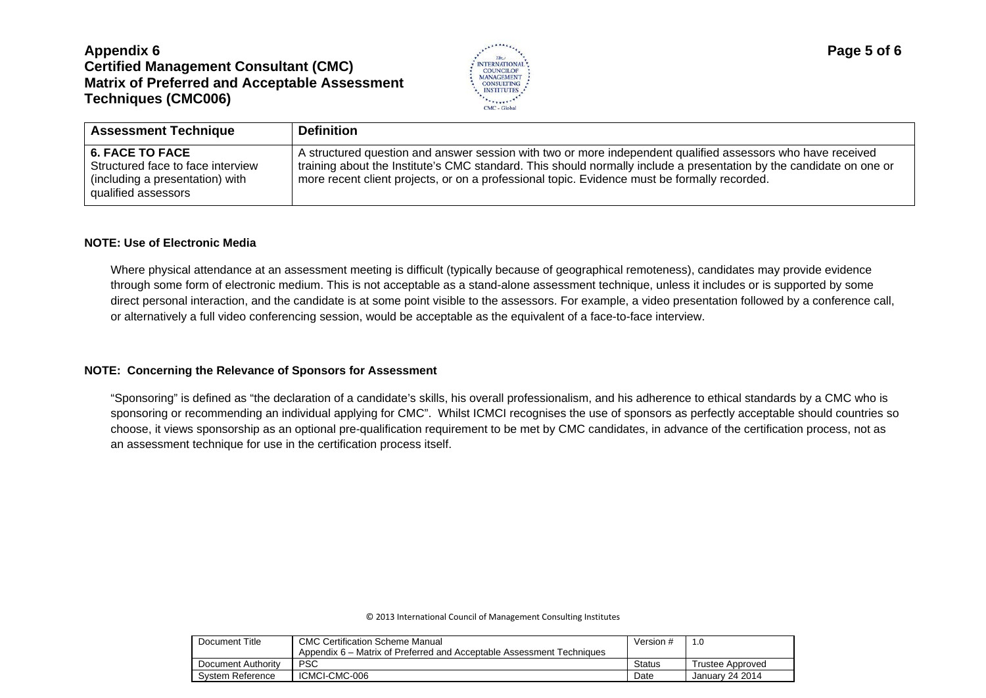

| <b>Assessment Technique</b>                                                                                           | <b>Definition</b>                                                                                                                                                                                                                                                                                                                  |
|-----------------------------------------------------------------------------------------------------------------------|------------------------------------------------------------------------------------------------------------------------------------------------------------------------------------------------------------------------------------------------------------------------------------------------------------------------------------|
| <b>6. FACE TO FACE</b><br>Structured face to face interview<br>(including a presentation) with<br>qualified assessors | A structured question and answer session with two or more independent qualified assessors who have received<br>training about the Institute's CMC standard. This should normally include a presentation by the candidate on one or<br>more recent client projects, or on a professional topic. Evidence must be formally recorded. |

#### **NOTE: Use of Electronic Media**

Where physical attendance at an assessment meeting is difficult (typically because of geographical remoteness), candidates may provide evidence through some form of electronic medium. This is not acceptable as a stand-alone assessment technique, unless it includes or is supported by some direct personal interaction, and the candidate is at some point visible to the assessors. For example, a video presentation followed by a conference call, or alternatively a full video conferencing session, would be acceptable as the equivalent of a face-to-face interview.

#### **NOTE: Concerning the Relevance of Sponsors for Assessment**

"Sponsoring" is defined as "the declaration of a candidate's skills, his overall professionalism, and his adherence to ethical standards by a CMC who is sponsoring or recommending an individual applying for CMC". Whilst ICMCI recognises the use of sponsors as perfectly acceptable should countries so choose, it views sponsorship as an optional pre-qualification requirement to be met by CMC candidates, in advance of the certification process, not as an assessment technique for use in the certification process itself.

| Document Title     | <b>CMC Certification Scheme Manual</b>                                | Version #     | 1.0              |
|--------------------|-----------------------------------------------------------------------|---------------|------------------|
|                    | Appendix 6 – Matrix of Preferred and Acceptable Assessment Techniques |               |                  |
| Document Authority | <b>PSC</b>                                                            | <b>Status</b> | Trustee Approved |
| System Reference   | ICMCI-CMC-006                                                         | Date          | January 24 2014  |